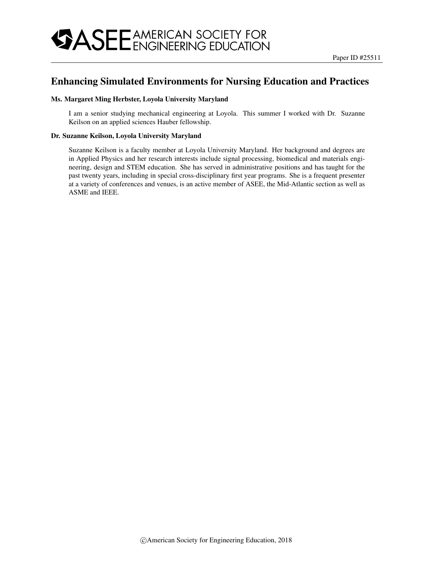## Enhancing Simulated Environments for Nursing Education and Practices

#### Ms. Margaret Ming Herbster, Loyola University Maryland

I am a senior studying mechanical engineering at Loyola. This summer I worked with Dr. Suzanne Keilson on an applied sciences Hauber fellowship.

#### Dr. Suzanne Keilson, Loyola University Maryland

Suzanne Keilson is a faculty member at Loyola University Maryland. Her background and degrees are in Applied Physics and her research interests include signal processing, biomedical and materials engineering, design and STEM education. She has served in administrative positions and has taught for the past twenty years, including in special cross-disciplinary first year programs. She is a frequent presenter at a variety of conferences and venues, is an active member of ASEE, the Mid-Atlantic section as well as ASME and IEEE.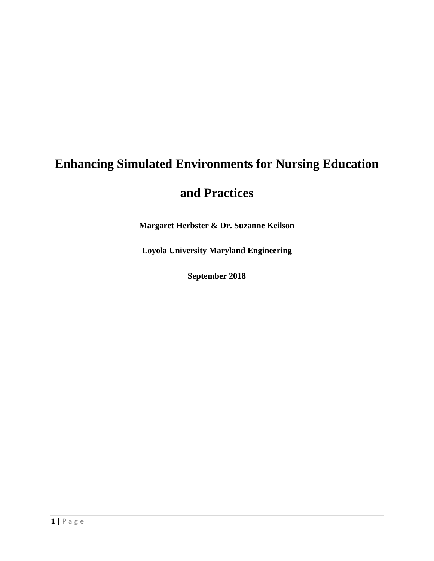# **Enhancing Simulated Environments for Nursing Education**

# **and Practices**

**Margaret Herbster & Dr. Suzanne Keilson**

**Loyola University Maryland Engineering**

**September 2018**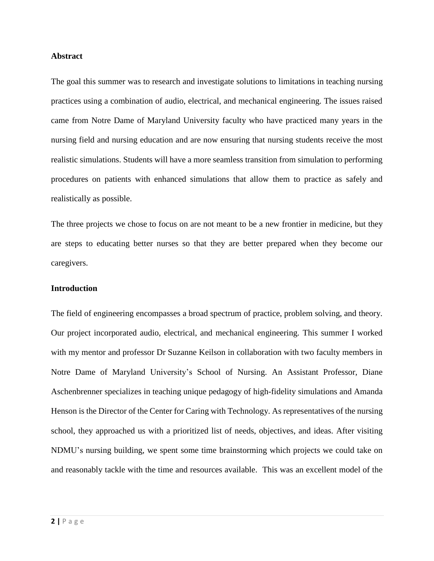#### **Abstract**

The goal this summer was to research and investigate solutions to limitations in teaching nursing practices using a combination of audio, electrical, and mechanical engineering. The issues raised came from Notre Dame of Maryland University faculty who have practiced many years in the nursing field and nursing education and are now ensuring that nursing students receive the most realistic simulations. Students will have a more seamless transition from simulation to performing procedures on patients with enhanced simulations that allow them to practice as safely and realistically as possible.

The three projects we chose to focus on are not meant to be a new frontier in medicine, but they are steps to educating better nurses so that they are better prepared when they become our caregivers.

### **Introduction**

The field of engineering encompasses a broad spectrum of practice, problem solving, and theory. Our project incorporated audio, electrical, and mechanical engineering. This summer I worked with my mentor and professor Dr Suzanne Keilson in collaboration with two faculty members in Notre Dame of Maryland University's School of Nursing. An Assistant Professor, Diane Aschenbrenner specializes in teaching unique pedagogy of high-fidelity simulations and Amanda Henson is the Director of the Center for Caring with Technology. As representatives of the nursing school, they approached us with a prioritized list of needs, objectives, and ideas. After visiting NDMU's nursing building, we spent some time brainstorming which projects we could take on and reasonably tackle with the time and resources available. This was an excellent model of the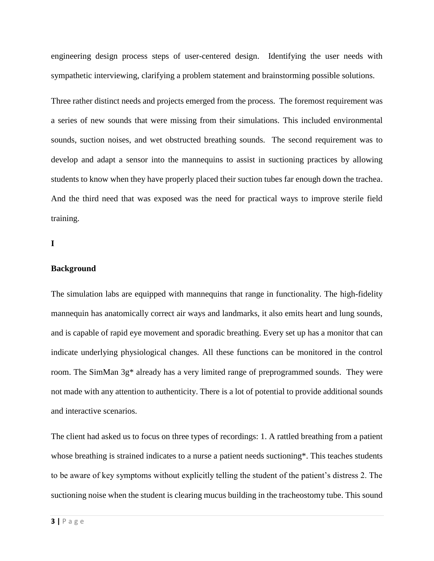engineering design process steps of user-centered design. Identifying the user needs with sympathetic interviewing, clarifying a problem statement and brainstorming possible solutions.

Three rather distinct needs and projects emerged from the process. The foremost requirement was a series of new sounds that were missing from their simulations. This included environmental sounds, suction noises, and wet obstructed breathing sounds. The second requirement was to develop and adapt a sensor into the mannequins to assist in suctioning practices by allowing students to know when they have properly placed their suction tubes far enough down the trachea. And the third need that was exposed was the need for practical ways to improve sterile field training.

**I**

### **Background**

The simulation labs are equipped with mannequins that range in functionality. The high-fidelity mannequin has anatomically correct air ways and landmarks, it also emits heart and lung sounds, and is capable of rapid eye movement and sporadic breathing. Every set up has a monitor that can indicate underlying physiological changes. All these functions can be monitored in the control room. The SimMan 3g\* already has a very limited range of preprogrammed sounds. They were not made with any attention to authenticity. There is a lot of potential to provide additional sounds and interactive scenarios.

The client had asked us to focus on three types of recordings: 1. A rattled breathing from a patient whose breathing is strained indicates to a nurse a patient needs suctioning\*. This teaches students to be aware of key symptoms without explicitly telling the student of the patient's distress 2. The suctioning noise when the student is clearing mucus building in the tracheostomy tube. This sound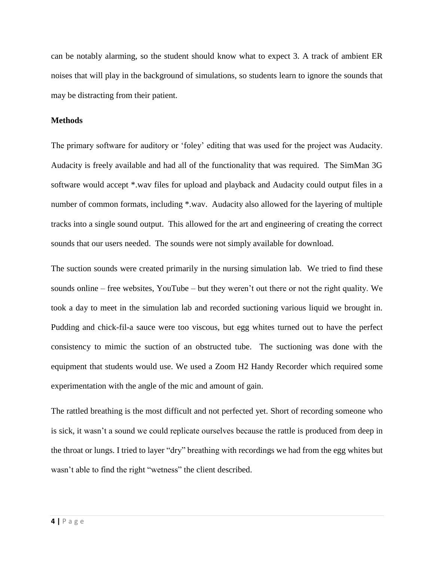can be notably alarming, so the student should know what to expect 3. A track of ambient ER noises that will play in the background of simulations, so students learn to ignore the sounds that may be distracting from their patient.

#### **Methods**

The primary software for auditory or 'foley' editing that was used for the project was Audacity. Audacity is freely available and had all of the functionality that was required. The SimMan 3G software would accept \*.wav files for upload and playback and Audacity could output files in a number of common formats, including \*.wav. Audacity also allowed for the layering of multiple tracks into a single sound output. This allowed for the art and engineering of creating the correct sounds that our users needed. The sounds were not simply available for download.

The suction sounds were created primarily in the nursing simulation lab. We tried to find these sounds online – free websites, YouTube – but they weren't out there or not the right quality. We took a day to meet in the simulation lab and recorded suctioning various liquid we brought in. Pudding and chick-fil-a sauce were too viscous, but egg whites turned out to have the perfect consistency to mimic the suction of an obstructed tube. The suctioning was done with the equipment that students would use. We used a Zoom H2 Handy Recorder which required some experimentation with the angle of the mic and amount of gain.

The rattled breathing is the most difficult and not perfected yet. Short of recording someone who is sick, it wasn't a sound we could replicate ourselves because the rattle is produced from deep in the throat or lungs. I tried to layer "dry" breathing with recordings we had from the egg whites but wasn't able to find the right "wetness" the client described.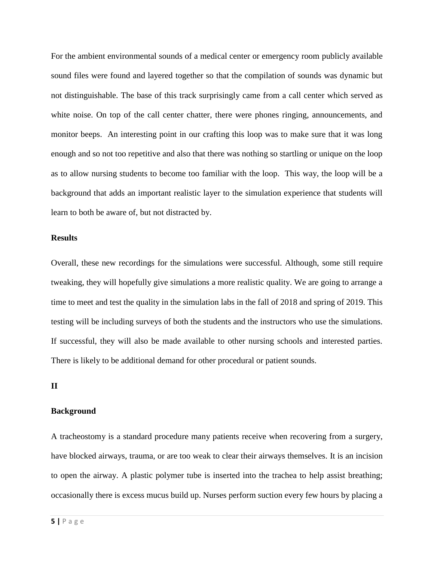For the ambient environmental sounds of a medical center or emergency room publicly available sound files were found and layered together so that the compilation of sounds was dynamic but not distinguishable. The base of this track surprisingly came from a call center which served as white noise. On top of the call center chatter, there were phones ringing, announcements, and monitor beeps. An interesting point in our crafting this loop was to make sure that it was long enough and so not too repetitive and also that there was nothing so startling or unique on the loop as to allow nursing students to become too familiar with the loop. This way, the loop will be a background that adds an important realistic layer to the simulation experience that students will learn to both be aware of, but not distracted by.

#### **Results**

Overall, these new recordings for the simulations were successful. Although, some still require tweaking, they will hopefully give simulations a more realistic quality. We are going to arrange a time to meet and test the quality in the simulation labs in the fall of 2018 and spring of 2019. This testing will be including surveys of both the students and the instructors who use the simulations. If successful, they will also be made available to other nursing schools and interested parties. There is likely to be additional demand for other procedural or patient sounds.

### **II**

#### **Background**

A tracheostomy is a standard procedure many patients receive when recovering from a surgery, have blocked airways, trauma, or are too weak to clear their airways themselves. It is an incision to open the airway. A plastic polymer tube is inserted into the trachea to help assist breathing; occasionally there is excess mucus build up. Nurses perform suction every few hours by placing a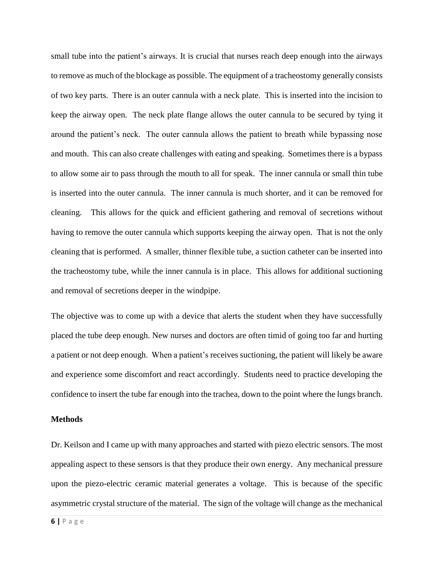small tube into the patient's airways. It is crucial that nurses reach deep enough into the airways to remove as much of the blockage as possible. The equipment of a tracheostomy generally consists of two key parts. There is an outer cannula with a neck plate. This is inserted into the incision to keep the airway open. The neck plate flange allows the outer cannula to be secured by tying it around the patient's neck. The outer cannula allows the patient to breath while bypassing nose and mouth. This can also create challenges with eating and speaking. Sometimes there is a bypass to allow some air to pass through the mouth to all for speak. The inner cannula or small thin tube is inserted into the outer cannula. The inner cannula is much shorter, and it can be removed for cleaning. This allows for the quick and efficient gathering and removal of secretions without having to remove the outer cannula which supports keeping the airway open. That is not the only cleaning that is performed. A smaller, thinner flexible tube, a suction catheter can be inserted into the tracheostomy tube, while the inner cannula is in place. This allows for additional suctioning and removal of secretions deeper in the windpipe.

The objective was to come up with a device that alerts the student when they have successfully placed the tube deep enough. New nurses and doctors are often timid of going too far and hurting a patient or not deep enough. When a patient's receives suctioning, the patient will likely be aware and experience some discomfort and react accordingly. Students need to practice developing the confidence to insert the tube far enough into the trachea, down to the point where the lungs branch.

#### **Methods**

Dr. Keilson and I came up with many approaches and started with piezo electric sensors. The most appealing aspect to these sensors is that they produce their own energy. Any mechanical pressure upon the piezo-electric ceramic material generates a voltage. This is because of the specific asymmetric crystal structure of the material. The sign of the voltage will change as the mechanical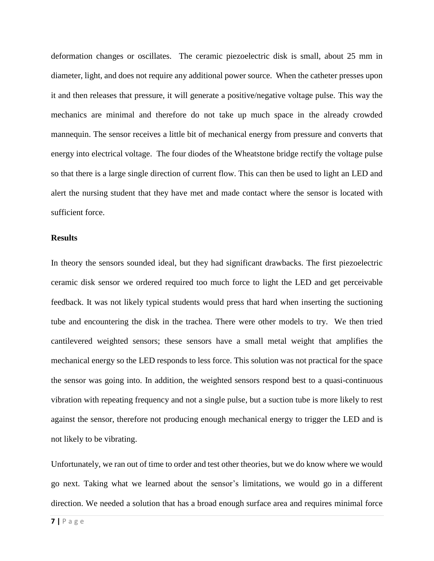deformation changes or oscillates. The ceramic piezoelectric disk is small, about 25 mm in diameter, light, and does not require any additional power source. When the catheter presses upon it and then releases that pressure, it will generate a positive/negative voltage pulse. This way the mechanics are minimal and therefore do not take up much space in the already crowded mannequin. The sensor receives a little bit of mechanical energy from pressure and converts that energy into electrical voltage. The four diodes of the Wheatstone bridge rectify the voltage pulse so that there is a large single direction of current flow. This can then be used to light an LED and alert the nursing student that they have met and made contact where the sensor is located with sufficient force.

#### **Results**

In theory the sensors sounded ideal, but they had significant drawbacks. The first piezoelectric ceramic disk sensor we ordered required too much force to light the LED and get perceivable feedback. It was not likely typical students would press that hard when inserting the suctioning tube and encountering the disk in the trachea. There were other models to try. We then tried cantilevered weighted sensors; these sensors have a small metal weight that amplifies the mechanical energy so the LED responds to less force. This solution was not practical for the space the sensor was going into. In addition, the weighted sensors respond best to a quasi-continuous vibration with repeating frequency and not a single pulse, but a suction tube is more likely to rest against the sensor, therefore not producing enough mechanical energy to trigger the LED and is not likely to be vibrating.

Unfortunately, we ran out of time to order and test other theories, but we do know where we would go next. Taking what we learned about the sensor's limitations, we would go in a different direction. We needed a solution that has a broad enough surface area and requires minimal force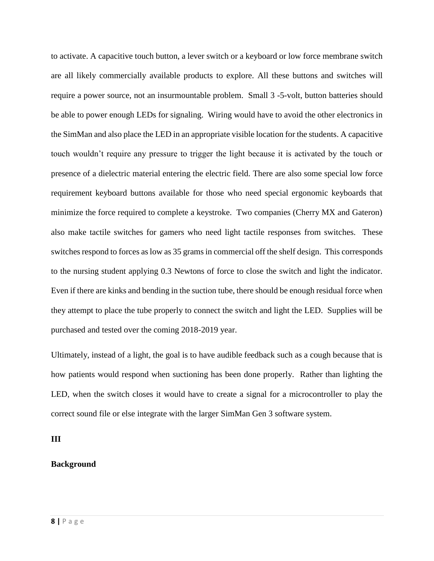to activate. A capacitive touch button, a lever switch or a keyboard or low force membrane switch are all likely commercially available products to explore. All these buttons and switches will require a power source, not an insurmountable problem. Small 3 -5-volt, button batteries should be able to power enough LEDs for signaling. Wiring would have to avoid the other electronics in the SimMan and also place the LED in an appropriate visible location for the students. A capacitive touch wouldn't require any pressure to trigger the light because it is activated by the touch or presence of a dielectric material entering the electric field. There are also some special low force requirement keyboard buttons available for those who need special ergonomic keyboards that minimize the force required to complete a keystroke. Two companies (Cherry MX and Gateron) also make tactile switches for gamers who need light tactile responses from switches. These switches respond to forces as low as 35 grams in commercial off the shelf design. This corresponds to the nursing student applying 0.3 Newtons of force to close the switch and light the indicator. Even if there are kinks and bending in the suction tube, there should be enough residual force when they attempt to place the tube properly to connect the switch and light the LED. Supplies will be purchased and tested over the coming 2018-2019 year.

Ultimately, instead of a light, the goal is to have audible feedback such as a cough because that is how patients would respond when suctioning has been done properly. Rather than lighting the LED, when the switch closes it would have to create a signal for a microcontroller to play the correct sound file or else integrate with the larger SimMan Gen 3 software system.

**III**

### **Background**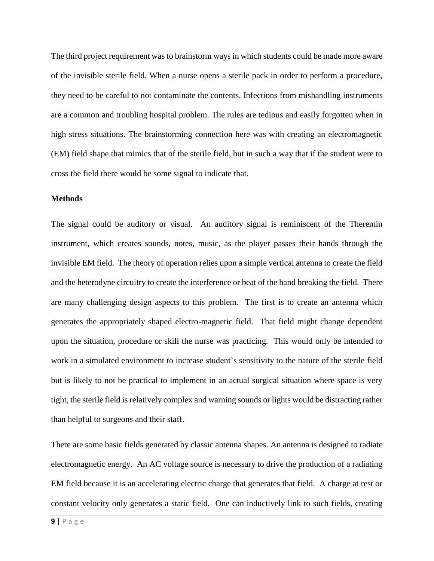The third project requirement was to brainstorm ways in which students could be made more aware of the invisible sterile field. When a nurse opens a sterile pack in order to perform a procedure, they need to be careful to not contaminate the contents. Infections from mishandling instruments are a common and troubling hospital problem. The rules are tedious and easily forgotten when in high stress situations. The brainstorming connection here was with creating an electromagnetic (EM) field shape that mimics that of the sterile field, but in such a way that if the student were to cross the field there would be some signal to indicate that.

#### **Methods**

The signal could be auditory or visual. An auditory signal is reminiscent of the Theremin instrument, which creates sounds, notes, music, as the player passes their hands through the invisible EM field. The theory of operation relies upon a simple vertical antenna to create the field and the heterodyne circuitry to create the interference or beat of the hand breaking the field. There are many challenging design aspects to this problem. The first is to create an antenna which generates the appropriately shaped electro-magnetic field. That field might change dependent upon the situation, procedure or skill the nurse was practicing. This would only be intended to work in a simulated environment to increase student's sensitivity to the nature of the sterile field but is likely to not be practical to implement in an actual surgical situation where space is very tight, the sterile field is relatively complex and warning sounds or lights would be distracting rather than helpful to surgeons and their staff.

There are some basic fields generated by classic antenna shapes. An antenna is designed to radiate electromagnetic energy. An AC voltage source is necessary to drive the production of a radiating EM field because it is an accelerating electric charge that generates that field. A charge at rest or constant velocity only generates a static field. One can inductively link to such fields, creating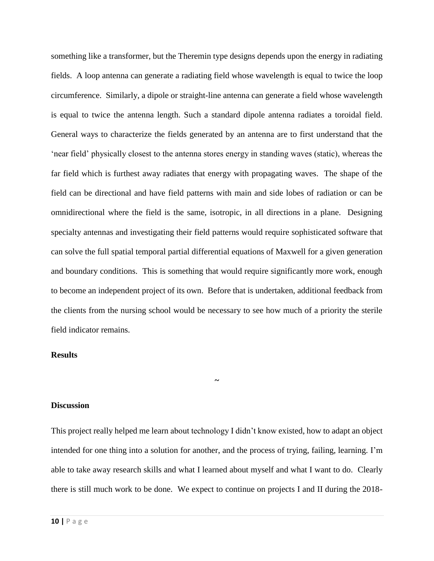something like a transformer, but the Theremin type designs depends upon the energy in radiating fields. A loop antenna can generate a radiating field whose wavelength is equal to twice the loop circumference. Similarly, a dipole or straight-line antenna can generate a field whose wavelength is equal to twice the antenna length. Such a standard dipole antenna radiates a toroidal field. General ways to characterize the fields generated by an antenna are to first understand that the 'near field' physically closest to the antenna stores energy in standing waves (static), whereas the far field which is furthest away radiates that energy with propagating waves. The shape of the field can be directional and have field patterns with main and side lobes of radiation or can be omnidirectional where the field is the same, isotropic, in all directions in a plane. Designing specialty antennas and investigating their field patterns would require sophisticated software that can solve the full spatial temporal partial differential equations of Maxwell for a given generation and boundary conditions. This is something that would require significantly more work, enough to become an independent project of its own. Before that is undertaken, additional feedback from the clients from the nursing school would be necessary to see how much of a priority the sterile field indicator remains.

#### **Results**

#### **Discussion**

This project really helped me learn about technology I didn't know existed, how to adapt an object intended for one thing into a solution for another, and the process of trying, failing, learning. I'm able to take away research skills and what I learned about myself and what I want to do. Clearly there is still much work to be done. We expect to continue on projects I and II during the 2018-

**~**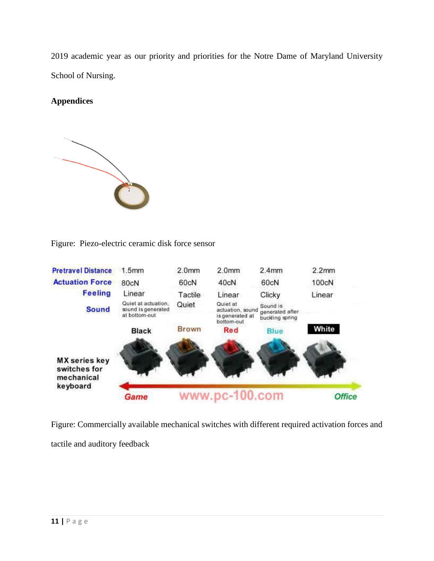2019 academic year as our priority and priorities for the Notre Dame of Maryland University School of Nursing.

## **Appendices**



Figure: Piezo-electric ceramic disk force sensor



Figure: Commercially available mechanical switches with different required activation forces and tactile and auditory feedback